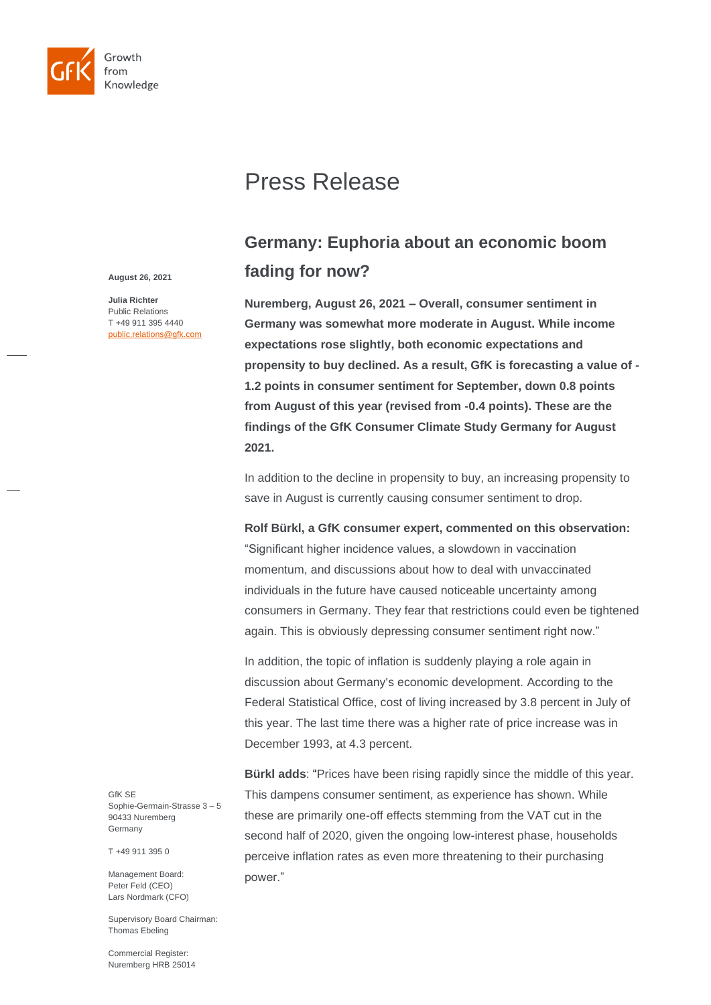

# Press Release

## **Germany: Euphoria about an economic boom fading for now?**

**Nuremberg, August 26, 2021 – Overall, consumer sentiment in Germany was somewhat more moderate in August. While income expectations rose slightly, both economic expectations and propensity to buy declined. As a result, GfK is forecasting a value of - 1.2 points in consumer sentiment for September, down 0.8 points from August of this year (revised from -0.4 points). These are the findings of the GfK Consumer Climate Study Germany for August 2021.**

In addition to the decline in propensity to buy, an increasing propensity to save in August is currently causing consumer sentiment to drop.

**Rolf Bürkl, a GfK consumer expert, commented on this observation:**  "Significant higher incidence values, a slowdown in vaccination

momentum, and discussions about how to deal with unvaccinated individuals in the future have caused noticeable uncertainty among consumers in Germany. They fear that restrictions could even be tightened again. This is obviously depressing consumer sentiment right now."

In addition, the topic of inflation is suddenly playing a role again in discussion about Germany's economic development. According to the Federal Statistical Office, cost of living increased by 3.8 percent in July of this year. The last time there was a higher rate of price increase was in December 1993, at 4.3 percent.

**Bürkl adds**: "Prices have been rising rapidly since the middle of this year. This dampens consumer sentiment, as experience has shown. While these are primarily one-off effects stemming from the VAT cut in the second half of 2020, given the ongoing low-interest phase, households perceive inflation rates as even more threatening to their purchasing power."

**August 26, 2021**

**Julia Richter** Public Relations T +49 911 395 4440 public.relations@gfk.com

GfK SE Sophie-Germain-Strasse 3 – 5 90433 Nuremberg Germany

T +49 911 395 0

Management Board: Peter Feld (CEO) Lars Nordmark (CFO)

Supervisory Board Chairman: Thomas Ebeling

Commercial Register: Nuremberg HRB 25014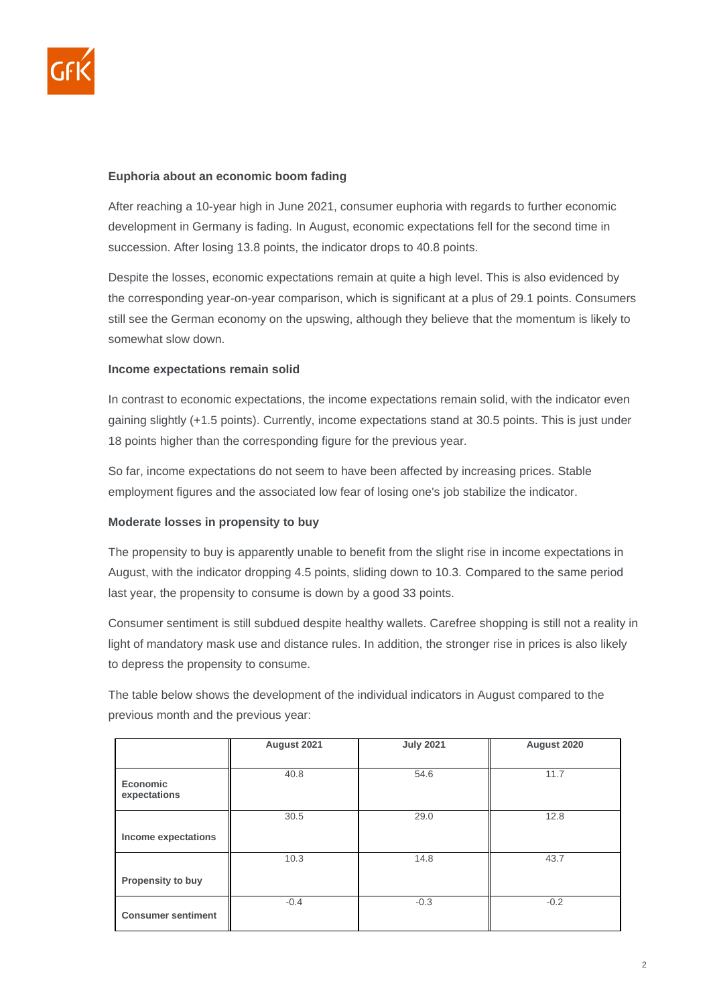

#### **Euphoria about an economic boom fading**

After reaching a 10-year high in June 2021, consumer euphoria with regards to further economic development in Germany is fading. In August, economic expectations fell for the second time in succession. After losing 13.8 points, the indicator drops to 40.8 points.

Despite the losses, economic expectations remain at quite a high level. This is also evidenced by the corresponding year-on-year comparison, which is significant at a plus of 29.1 points. Consumers still see the German economy on the upswing, although they believe that the momentum is likely to somewhat slow down.

#### **Income expectations remain solid**

In contrast to economic expectations, the income expectations remain solid, with the indicator even gaining slightly (+1.5 points). Currently, income expectations stand at 30.5 points. This is just under 18 points higher than the corresponding figure for the previous year.

So far, income expectations do not seem to have been affected by increasing prices. Stable employment figures and the associated low fear of losing one's job stabilize the indicator.

#### **Moderate losses in propensity to buy**

The propensity to buy is apparently unable to benefit from the slight rise in income expectations in August, with the indicator dropping 4.5 points, sliding down to 10.3. Compared to the same period last year, the propensity to consume is down by a good 33 points.

Consumer sentiment is still subdued despite healthy wallets. Carefree shopping is still not a reality in light of mandatory mask use and distance rules. In addition, the stronger rise in prices is also likely to depress the propensity to consume.

The table below shows the development of the individual indicators in August compared to the previous month and the previous year:

|                                 | August 2021 | <b>July 2021</b> | August 2020 |
|---------------------------------|-------------|------------------|-------------|
|                                 |             |                  |             |
| <b>Economic</b><br>expectations | 40.8        | 54.6             | 11.7        |
|                                 | 30.5        | 29.0             | 12.8        |
| Income expectations             |             |                  |             |
|                                 | 10.3        | 14.8             | 43.7        |
| Propensity to buy               |             |                  |             |
| <b>Consumer sentiment</b>       | $-0.4$      | $-0.3$           | $-0.2$      |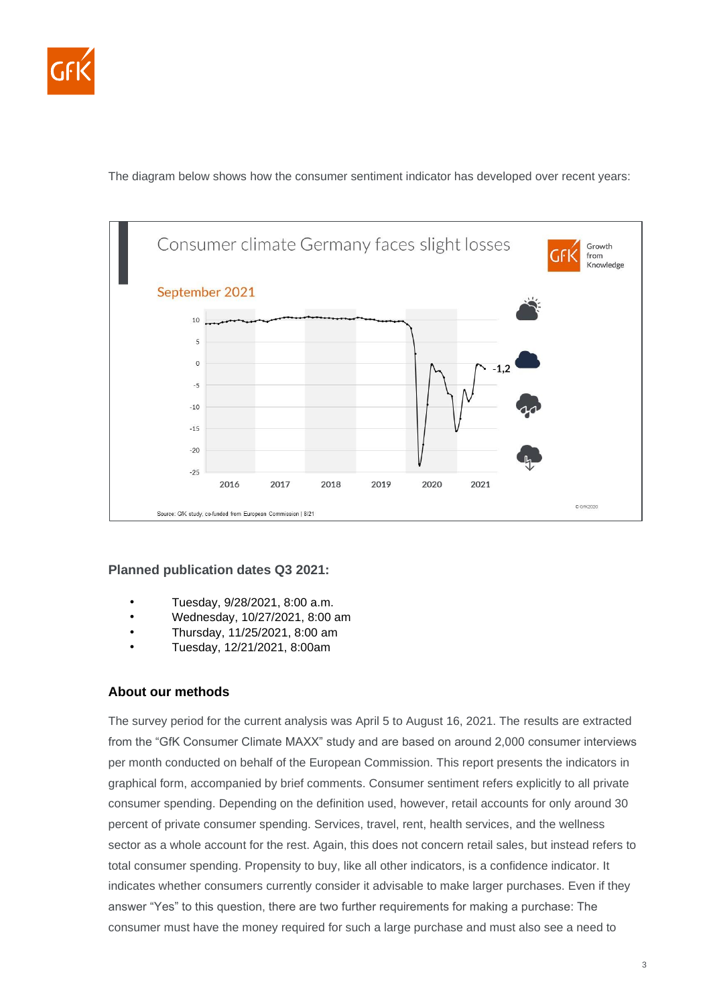

The diagram below shows how the consumer sentiment indicator has developed over recent years:



### **Planned publication dates Q3 2021:**

- Tuesday, 9/28/2021, 8:00 a.m.
- Wednesday, 10/27/2021, 8:00 am
- Thursday, 11/25/2021, 8:00 am
- Tuesday, 12/21/2021, 8:00am

#### **About our methods**

The survey period for the current analysis was April 5 to August 16, 2021. The results are extracted from the "GfK Consumer Climate MAXX" study and are based on around 2,000 consumer interviews per month conducted on behalf of the European Commission. This report presents the indicators in graphical form, accompanied by brief comments. Consumer sentiment refers explicitly to all private consumer spending. Depending on the definition used, however, retail accounts for only around 30 percent of private consumer spending. Services, travel, rent, health services, and the wellness sector as a whole account for the rest. Again, this does not concern retail sales, but instead refers to total consumer spending. Propensity to buy, like all other indicators, is a confidence indicator. It indicates whether consumers currently consider it advisable to make larger purchases. Even if they answer "Yes" to this question, there are two further requirements for making a purchase: The consumer must have the money required for such a large purchase and must also see a need to